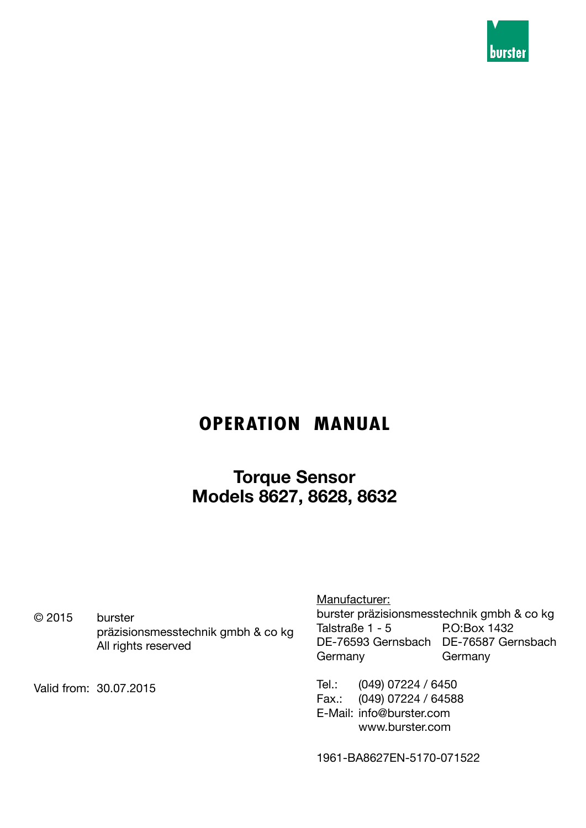

## **OPERATION MANUAL**

**Torque Sensor Models 8627, 8628, 8632**

© 2015 burster präzisionsmesstechnik gmbh & co kg All rights reserved

Valid from: 30.07.2015

Manufacturer:

burster präzisionsmesstechnik gmbh & co kg Talstraße 1 - 5 P.O:Box 1432 DE-76593 Gernsbach DE-76587 Gernsbach Germany Germany

Tel.: (049) 07224 / 6450 Fax.: (049) 07224 / 64588 E-Mail: info@burster.com www.burster.com

1961-BA8627EN-5170-071522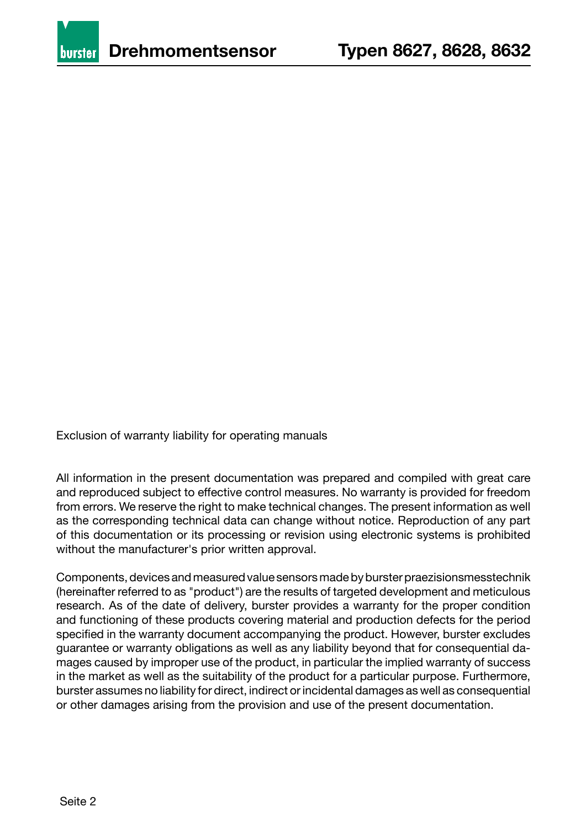

Exclusion of warranty liability for operating manuals

All information in the present documentation was prepared and compiled with great care and reproduced subject to effective control measures. No warranty is provided for freedom from errors. We reserve the right to make technical changes. The present information as well as the corresponding technical data can change without notice. Reproduction of any part of this documentation or its processing or revision using electronic systems is prohibited without the manufacturer's prior written approval.

Components, devices and measured value sensors made by burster praezisionsmesstechnik (hereinafter referred to as "product") are the results of targeted development and meticulous research. As of the date of delivery, burster provides a warranty for the proper condition and functioning of these products covering material and production defects for the period specified in the warranty document accompanying the product. However, burster excludes guarantee or warranty obligations as well as any liability beyond that for consequential damages caused by improper use of the product, in particular the implied warranty of success in the market as well as the suitability of the product for a particular purpose. Furthermore, burster assumes no liability for direct, indirect or incidental damages as well as consequential or other damages arising from the provision and use of the present documentation.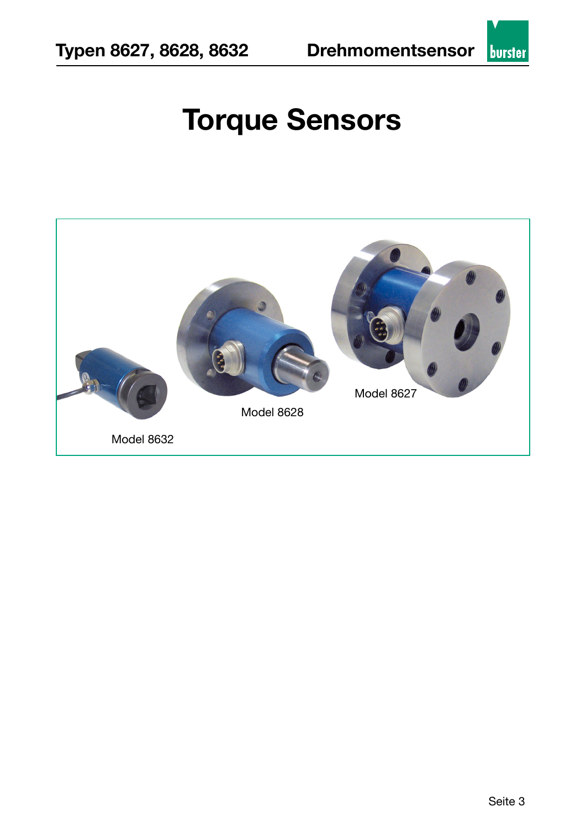# **Torque Sensors**

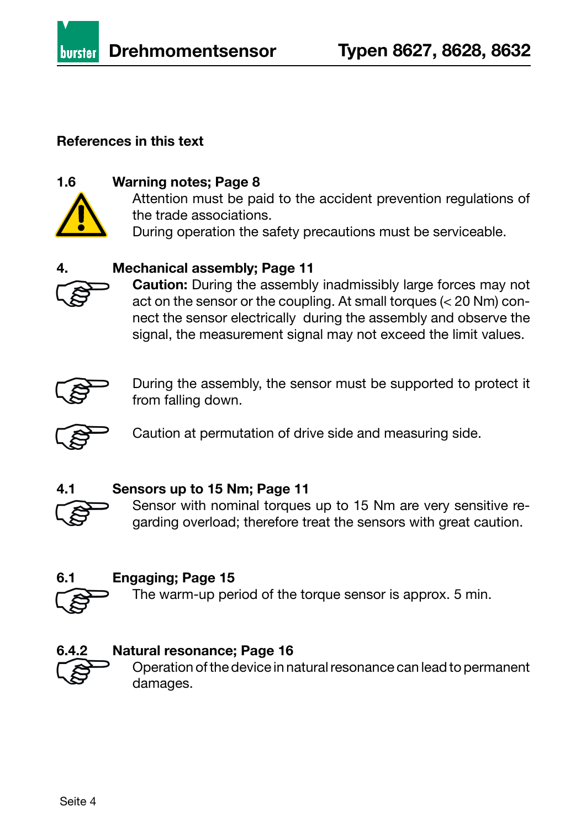

#### **References in this text**



#### **1.6 Warning notes; Page 8**

Attention must be paid to the accident prevention regulations of the trade associations. During operation the safety precautions must be serviceable.

#### **4. Mechanical assembly; Page 11**



**Caution:** During the assembly inadmissibly large forces may not act on the sensor or the coupling. At small torques (< 20 Nm) connect the sensor electrically during the assembly and observe the signal, the measurement signal may not exceed the limit values.



During the assembly, the sensor must be supported to protect it from falling down.



Caution at permutation of drive side and measuring side.



#### **4.1 Sensors up to 15 Nm; Page 11**

Sensor with nominal torques up to 15 Nm are very sensitive regarding overload; therefore treat the sensors with great caution.

#### **6.1 Engaging; Page 15**

The warm-up period of the torque sensor is approx. 5 min.



#### **6.4.2 Natural resonance; Page 16**

Operation of the device in natural resonance can lead to permanent damages.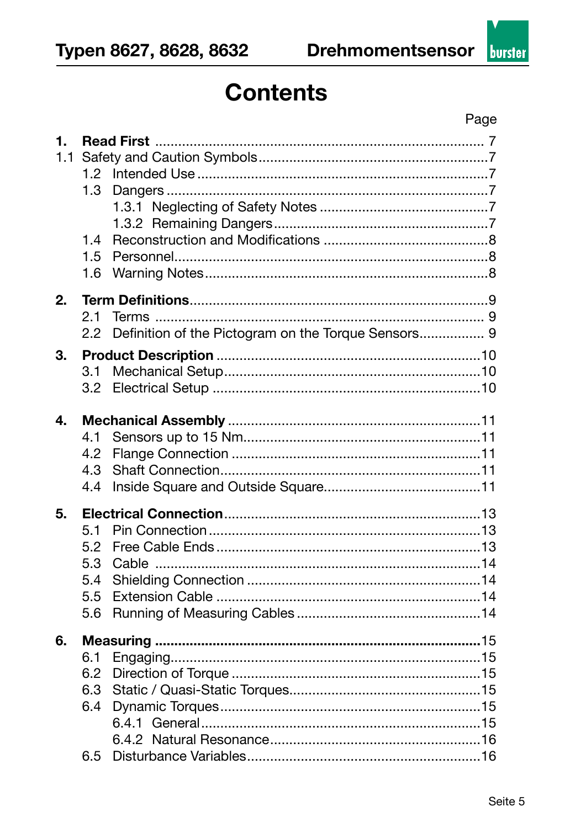## **Contents**

| 1.<br>1.1 | 1.2<br>1.3<br>1.4<br>1.5<br>1.6 |       |  |
|-----------|---------------------------------|-------|--|
| 2.        |                                 |       |  |
|           |                                 |       |  |
|           | 2.1                             |       |  |
|           | $2.2\,$                         |       |  |
| 3.        |                                 |       |  |
|           | 3.1                             |       |  |
|           | 3.2                             |       |  |
|           |                                 |       |  |
| 4.        |                                 |       |  |
|           | 4.1                             |       |  |
|           | 4.2                             |       |  |
|           | 4.3                             |       |  |
|           | 4.4                             |       |  |
|           |                                 |       |  |
| 5.        |                                 |       |  |
|           | 5.1                             |       |  |
|           | 5.2                             |       |  |
|           | 5.3                             | Cable |  |
|           | 5.4                             |       |  |
|           | 5.5                             |       |  |
|           | 5.6                             |       |  |
|           |                                 |       |  |
| 6.        |                                 |       |  |
|           | 6.1                             |       |  |
|           | 6.2                             |       |  |
|           | 6.3                             |       |  |
|           | 6.4                             |       |  |
|           |                                 |       |  |
|           |                                 |       |  |
|           | 6.5                             |       |  |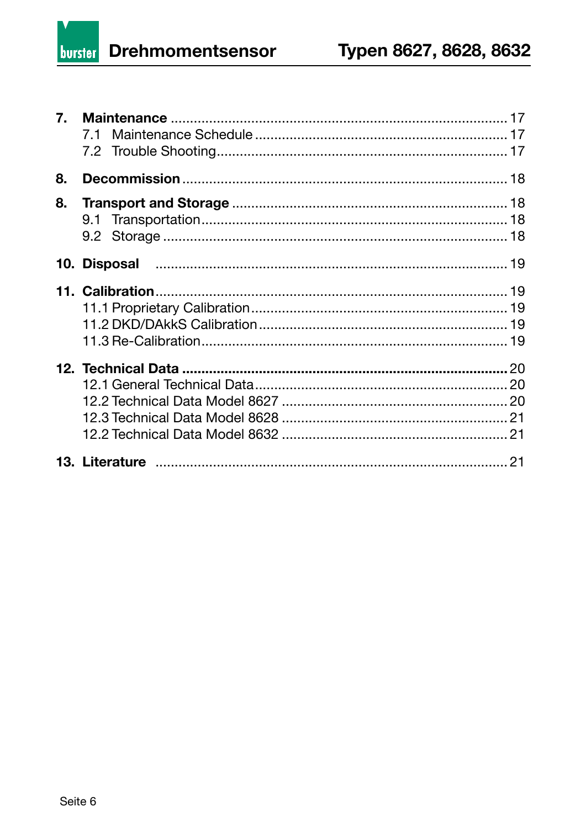**Drehmomentsensor** burster

| 8. |  |
|----|--|
| 8. |  |
|    |  |
|    |  |
|    |  |
|    |  |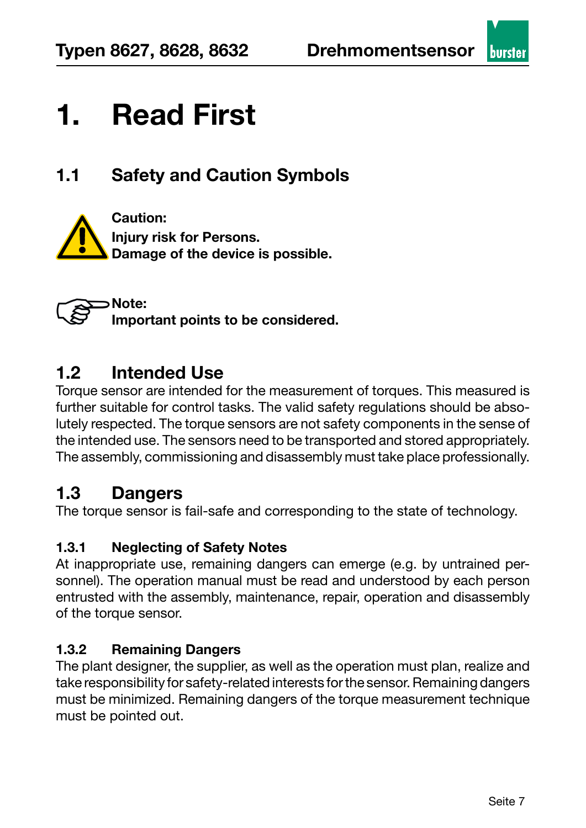

### **1.1 Safety and Caution Symbols**



**Note: Important points to be considered.**

#### **1.2 Intended Use**

Torque sensor are intended for the measurement of torques. This measured is further suitable for control tasks. The valid safety regulations should be absolutely respected. The torque sensors are not safety components in the sense of the intended use. The sensors need to be transported and stored appropriately. The assembly, commissioning and disassembly must take place professionally.

#### **1.3 Dangers**

The torque sensor is fail-safe and corresponding to the state of technology.

#### **1.3.1 Neglecting of Safety Notes**

At inappropriate use, remaining dangers can emerge (e.g. by untrained personnel). The operation manual must be read and understood by each person entrusted with the assembly, maintenance, repair, operation and disassembly of the torque sensor.

#### **1.3.2 Remaining Dangers**

The plant designer, the supplier, as well as the operation must plan, realize and take responsibility for safety-related interests for the sensor. Remaining dangers must be minimized. Remaining dangers of the torque measurement technique must be pointed out.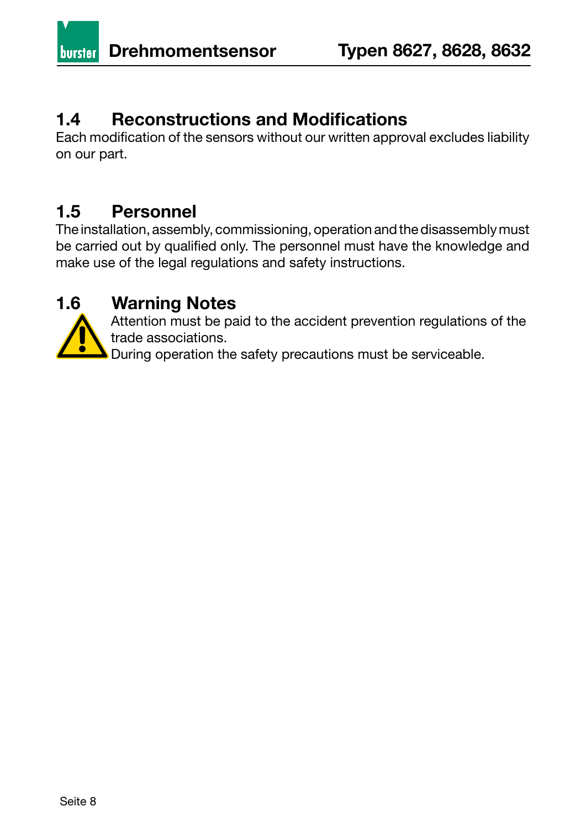#### **1.4 Reconstructions and Modifications**

Each modification of the sensors without our written approval excludes liability on our part.

### **1.5 Personnel**

The installation, assembly, commissioning, operation and the disassembly must be carried out by qualified only. The personnel must have the knowledge and make use of the legal regulations and safety instructions.

#### **1.6 Warning Notes**



Attention must be paid to the accident prevention regulations of the trade associations.

During operation the safety precautions must be serviceable.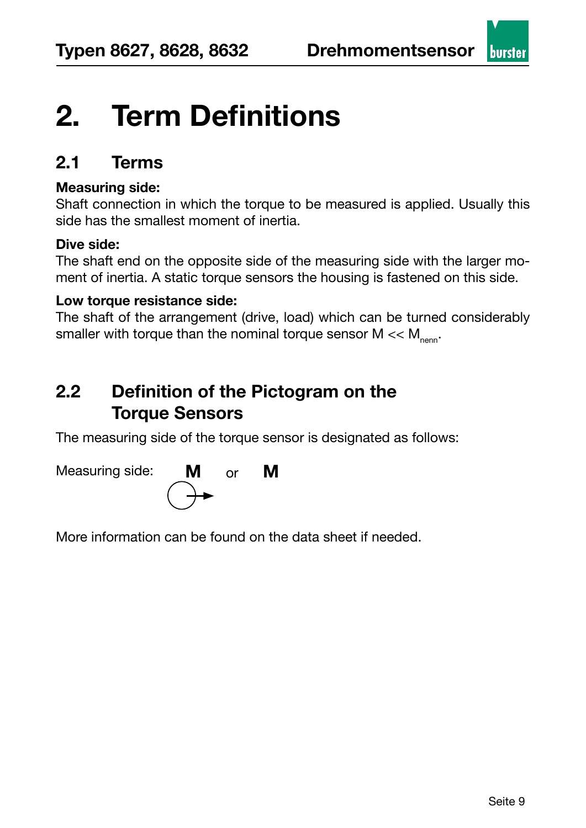## **2. Term Definitions**

#### **2.1 Terms**

#### **Measuring side:**

Shaft connection in which the torque to be measured is applied. Usually this side has the smallest moment of inertia.

#### **Dive side:**

The shaft end on the opposite side of the measuring side with the larger moment of inertia. A static torque sensors the housing is fastened on this side.

#### **Low torque resistance side:**

The shaft of the arrangement (drive, load) which can be turned considerably smaller with torque than the nominal torque sensor  $M \ll M_{\text{nenn}}$ .

### **2.2 Definition of the Pictogram on the Torque Sensors**

The measuring side of the torque sensor is designated as follows:



More information can be found on the data sheet if needed.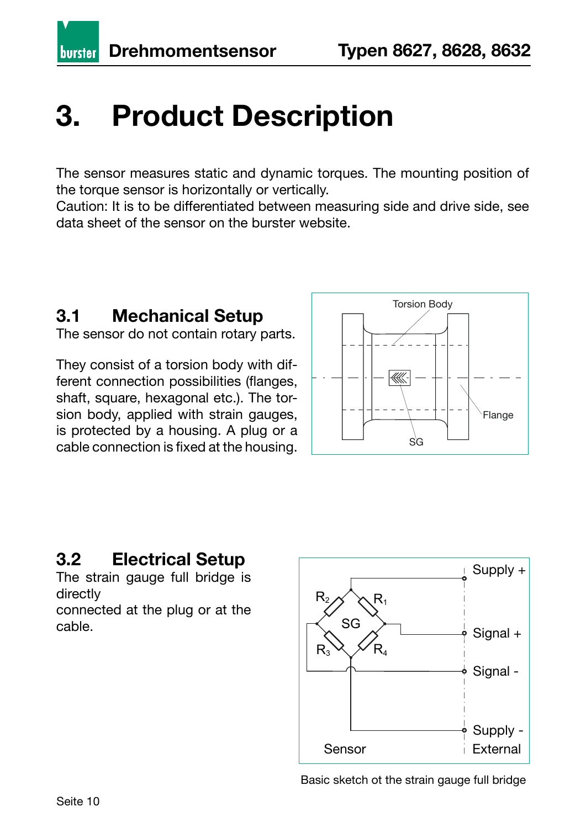**burster** 

## **3. Product Description**

The sensor measures static and dynamic torques. The mounting position of the torque sensor is horizontally or vertically.

Caution: It is to be differentiated between measuring side and drive side, see data sheet of the sensor on the burster website.

### **3.1 Mechanical Setup**

The sensor do not contain rotary parts.

They consist of a torsion body with different connection possibilities (flanges, shaft, square, hexagonal etc.). The torsion body, applied with strain gauges, is protected by a housing. A plug or a cable connection is fixed at the housing.



### **3.2 Electrical Setup**

The strain gauge full bridge is directly

connected at the plug or at the cable.



Basic sketch ot the strain gauge full bridge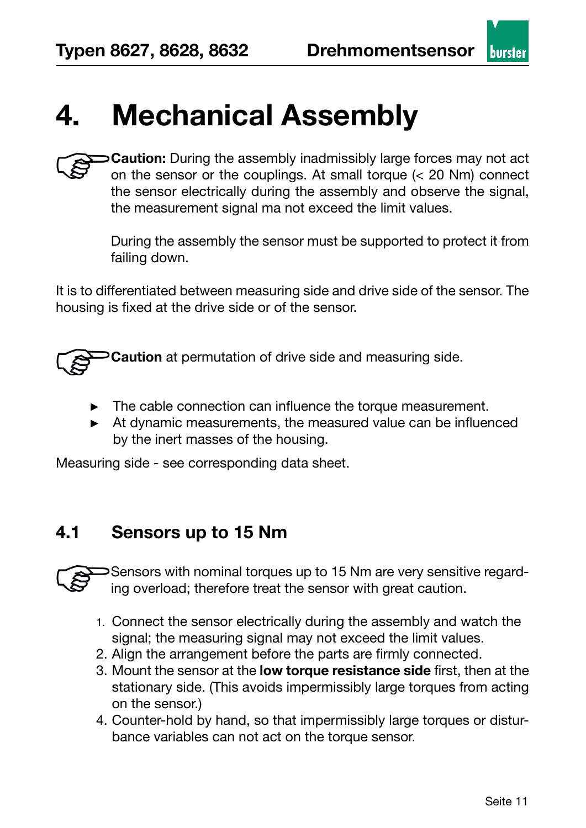## **4. Mechanical Assembly**

**Caution:** During the assembly inadmissibly large forces may not act on the sensor or the couplings. At small torque (< 20 Nm) connect the sensor electrically during the assembly and observe the signal, the measurement signal ma not exceed the limit values.

During the assembly the sensor must be supported to protect it from failing down.

It is to differentiated between measuring side and drive side of the sensor. The housing is fixed at the drive side or of the sensor.

**Caution** at permutation of drive side and measuring side.

- ► The cable connection can influence the torque measurement.
- ► At dynamic measurements, the measured value can be influenced by the inert masses of the housing.

Measuring side - see corresponding data sheet.

#### **4.1 Sensors up to 15 Nm**

Sensors with nominal torques up to 15 Nm are very sensitive regarding overload; therefore treat the sensor with great caution.

- 1. Connect the sensor electrically during the assembly and watch the signal; the measuring signal may not exceed the limit values.
- 2. Align the arrangement before the parts are firmly connected.
- 3. Mount the sensor at the **low torque resistance side** first, then at the stationary side. (This avoids impermissibly large torques from acting on the sensor.)
- 4. Counter-hold by hand, so that impermissibly large torques or disturbance variables can not act on the torque sensor.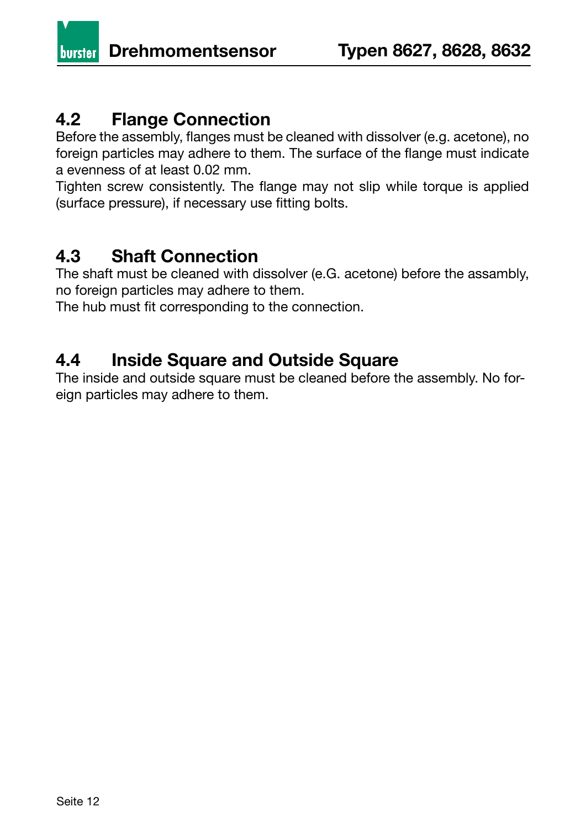**burster** 

#### **4.2 Flange Connection**

Before the assembly, flanges must be cleaned with dissolver (e.g. acetone), no foreign particles may adhere to them. The surface of the flange must indicate a evenness of at least 0.02 mm.

Tighten screw consistently. The flange may not slip while torque is applied (surface pressure), if necessary use fitting bolts.

#### **4.3 Shaft Connection**

The shaft must be cleaned with dissolver (e.G. acetone) before the assambly, no foreign particles may adhere to them.

The hub must fit corresponding to the connection.

#### **4.4 Inside Square and Outside Square**

The inside and outside square must be cleaned before the assembly. No foreign particles may adhere to them.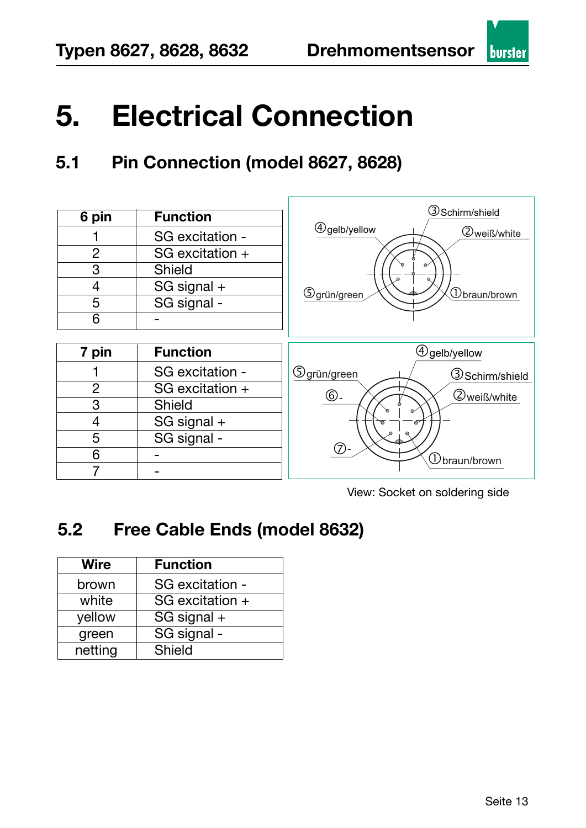## **5. Electrical Connection**

## **5.1 Pin Connection (model 8627, 8628)**

| 6 pin          | <b>Function</b> | <b>3</b> Schirm/shield                 |
|----------------|-----------------|----------------------------------------|
|                | SG excitation - | $\bigcirc$ gelb/yellow<br>2 weiß/white |
| $\overline{2}$ | SG excitation + |                                        |
| 3              | <b>Shield</b>   |                                        |
| 4              | SG signal +     | <b>5</b> grün/green<br>∪braun/brown    |
| 5              | SG signal -     |                                        |
| 6              |                 |                                        |
|                |                 |                                        |
|                |                 |                                        |
| 7 pin          | <b>Function</b> | $\bigcirc$ gelb/yellow                 |
|                | SG excitation - | <b>5</b> grün/green<br>3 Schirm/shield |
| $\overline{2}$ | SG excitation + |                                        |
| 3              | <b>Shield</b>   | $\circledcirc$<br><b>2</b> weiß/white  |
| 4              | SG signal +     |                                        |
| 5              | SG signal -     |                                        |
| 6              |                 | ⑦<br>$\mathfrak D$ braun/brown         |

View: Socket on soldering side

### **5.2 Free Cable Ends (model 8632)**

| <b>Wire</b> | <b>Function</b> |  |
|-------------|-----------------|--|
| brown       | SG excitation - |  |
| white       | SG excitation + |  |
| yellow      | SG signal +     |  |
| green       | SG signal -     |  |
| netting     | Shield          |  |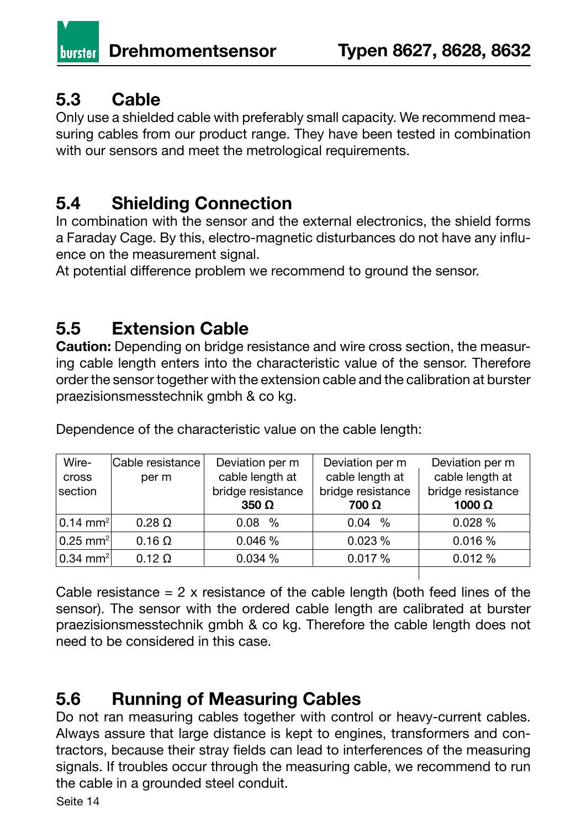## **5.3 Cable**

Only use a shielded cable with preferably small capacity. We recommend measuring cables from our product range. They have been tested in combination with our sensors and meet the metrological requirements.

### **5.4 Shielding Connection**

In combination with the sensor and the external electronics, the shield forms a Faraday Cage. By this, electro-magnetic disturbances do not have any influence on the measurement signal.

At potential difference problem we recommend to ground the sensor.

#### **5.5 Extension Cable**

**Caution:** Depending on bridge resistance and wire cross section, the measuring cable length enters into the characteristic value of the sensor. Therefore order the sensor together with the extension cable and the calibration at burster praezisionsmesstechnik gmbh & co kg.

Dependence of the characteristic value on the cable length:

| 0.028%<br>$0.14$ mm <sup>2</sup><br>$0.08\%$<br>$0.28 \Omega$<br>$0.04\%$<br>$0.25$ mm <sup>2</sup><br>0.023%<br>0.046%<br>0.016%<br>$0.16 \Omega$ | Wire-<br>cross<br>section | Cable resistance  <br>per m | Deviation per m<br>cable length at<br>bridge resistance<br>$350 \Omega$ | Deviation per m<br>cable length at<br>bridge resistance<br>700 Ω | Deviation per m<br>cable length at<br>bridge resistance<br>1000 $\Omega$ |
|----------------------------------------------------------------------------------------------------------------------------------------------------|---------------------------|-----------------------------|-------------------------------------------------------------------------|------------------------------------------------------------------|--------------------------------------------------------------------------|
|                                                                                                                                                    |                           |                             |                                                                         |                                                                  |                                                                          |
|                                                                                                                                                    |                           |                             |                                                                         |                                                                  |                                                                          |
|                                                                                                                                                    | $0.34$ mm <sup>2</sup>    | $0.12 \Omega$               | 0.034%                                                                  | 0.017%                                                           | 0.012%                                                                   |

Cable resistance  $= 2$  x resistance of the cable length (both feed lines of the sensor). The sensor with the ordered cable length are calibrated at burster praezisionsmesstechnik gmbh & co kg. Therefore the cable length does not need to be considered in this case.

### **5.6 Running of Measuring Cables**

Do not ran measuring cables together with control or heavy-current cables. Always assure that large distance is kept to engines, transformers and contractors, because their stray fields can lead to interferences of the measuring signals. If troubles occur through the measuring cable, we recommend to run the cable in a grounded steel conduit.

Seite 14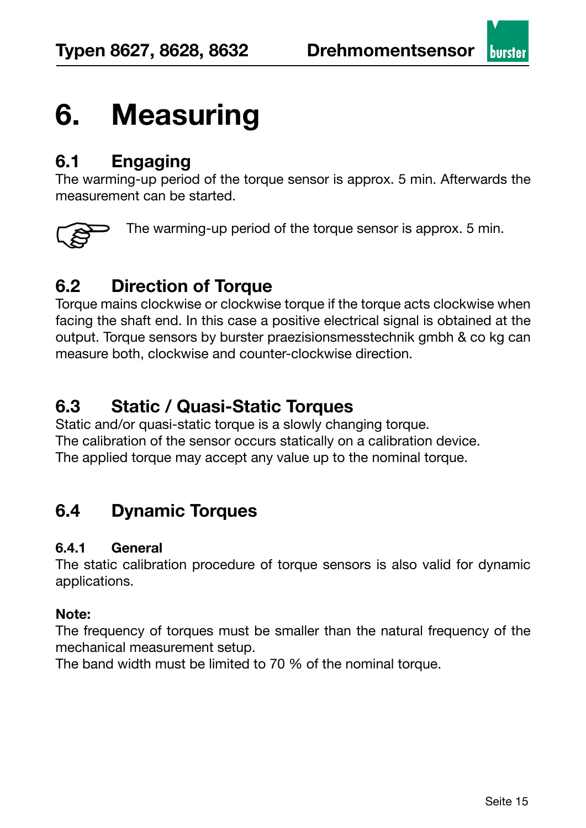

## **6. Measuring**

#### **6.1 Engaging**

The warming-up period of the torque sensor is approx. 5 min. Afterwards the measurement can be started.



The warming-up period of the torque sensor is approx. 5 min.

## **6.2 Direction of Torque**

Torque mains clockwise or clockwise torque if the torque acts clockwise when facing the shaft end. In this case a positive electrical signal is obtained at the output. Torque sensors by burster praezisionsmesstechnik gmbh & co kg can measure both, clockwise and counter-clockwise direction.

### **6.3 Static / Quasi-Static Torques**

Static and/or quasi-static torque is a slowly changing torque. The calibration of the sensor occurs statically on a calibration device. The applied torque may accept any value up to the nominal torque.

### **6.4 Dynamic Torques**

#### **6.4.1 General**

The static calibration procedure of torque sensors is also valid for dynamic applications.

#### **Note:**

The frequency of torques must be smaller than the natural frequency of the mechanical measurement setup.

The band width must be limited to 70 % of the nominal torque.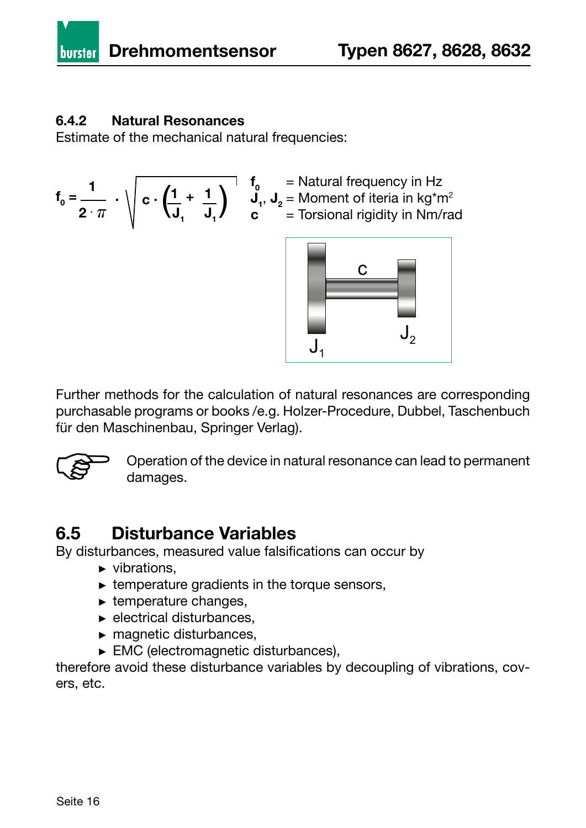

#### **6.4.2 Natural Resonances**

Estimate of the mechanical natural frequencies:

$$
f_0 = \frac{1}{2 \cdot \pi} \cdot \sqrt{c \cdot \left(\frac{1}{J_1} + \frac{1}{J_1}\right)} \cdot \frac{f}{c}
$$





Further methods for the calculation of natural resonances are corresponding purchasable programs or books /e.g. Holzer-Procedure, Dubbel, Taschenbuch für den Maschinenbau, Springer Verlag).



Operation of the device in natural resonance can lead to permanent damages.

#### **6.5 Disturbance Variables**

By disturbances, measured value falsifications can occur by

- ► vibrations,
- $\triangleright$  temperature gradients in the torque sensors,
- ► temperature changes,
- ► electrical disturbances,
- ► magnetic disturbances,
- ► EMC (electromagnetic disturbances),

therefore avoid these disturbance variables by decoupling of vibrations, covers, etc.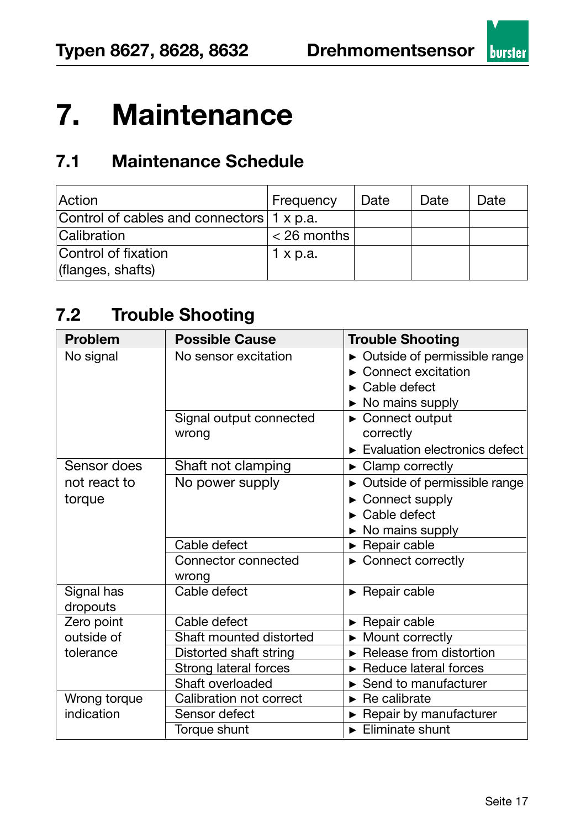

## **7. Maintenance**

## **7.1 Maintenance Schedule**

| Action                                    | Frequency       | Date | Date | Date |
|-------------------------------------------|-----------------|------|------|------|
| Control of cables and connectors 1 x p.a. |                 |      |      |      |
| Calibration                               | $<$ 26 months   |      |      |      |
| Control of fixation                       | $1 \times p.a.$ |      |      |      |
| (flanges, shafts)                         |                 |      |      |      |

### **7.2 Trouble Shooting**

| <b>Problem</b>         | <b>Possible Cause</b>            | <b>Trouble Shooting</b>                                                                                                                  |
|------------------------|----------------------------------|------------------------------------------------------------------------------------------------------------------------------------------|
| No signal              | No sensor excitation             | $\triangleright$ Outside of permissible range<br>$\triangleright$ Connect excitation<br>$\triangleright$ Cable defect<br>No mains supply |
|                        | Signal output connected<br>wrong | Connect output<br>correctly<br>$\blacktriangleright$ Evaluation electronics defect                                                       |
| Sensor does            | Shaft not clamping               | $\triangleright$ Clamp correctly                                                                                                         |
| not react to<br>torque | No power supply                  | Outside of permissible range<br>Connect supply<br>$\triangleright$ Cable defect<br>No mains supply                                       |
|                        | Cable defect                     | $\blacktriangleright$ Repair cable                                                                                                       |
|                        | Connector connected<br>wrong     | ► Connect correctly                                                                                                                      |
| Signal has<br>dropouts | Cable defect                     | $\blacktriangleright$ Repair cable                                                                                                       |
| Zero point             | Cable defect                     | $\blacktriangleright$ Repair cable                                                                                                       |
| outside of             | Shaft mounted distorted          | $\triangleright$ Mount correctly                                                                                                         |
| tolerance              | Distorted shaft string           | $\triangleright$ Release from distortion                                                                                                 |
|                        | Strong lateral forces            | Reduce lateral forces                                                                                                                    |
|                        | Shaft overloaded                 | Send to manufacturer                                                                                                                     |
| Wrong torque           | Calibration not correct          | $\triangleright$ Re calibrate                                                                                                            |
| indication             | Sensor defect                    | Repair by manufacturer                                                                                                                   |
|                        | Torque shunt                     | $\blacktriangleright$ Eliminate shunt                                                                                                    |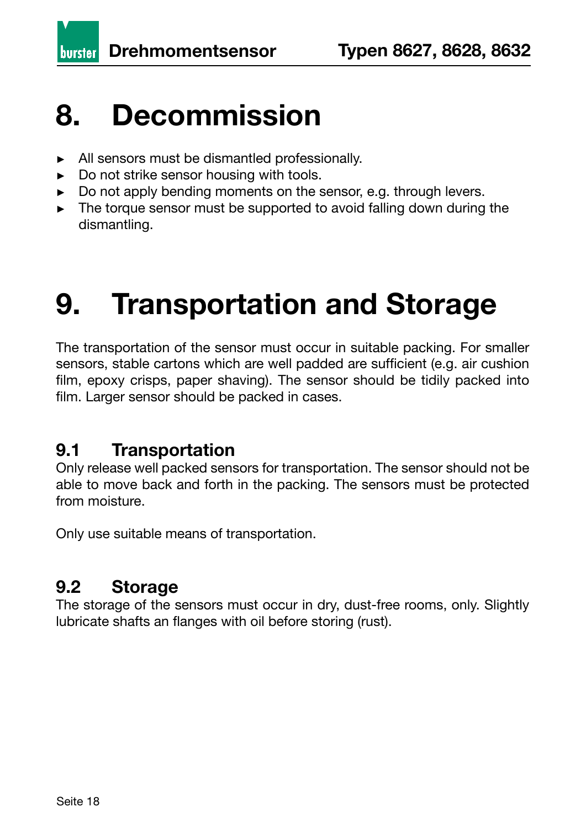**burster** 

## **8. Decommission**

- ► All sensors must be dismantled professionally.
- ► Do not strike sensor housing with tools.
- ► Do not apply bending moments on the sensor, e.g. through levers.
- ► The torque sensor must be supported to avoid falling down during the dismantling.

# **9. Transportation and Storage**

The transportation of the sensor must occur in suitable packing. For smaller sensors, stable cartons which are well padded are sufficient (e.g. air cushion film, epoxy crisps, paper shaving). The sensor should be tidily packed into film. Larger sensor should be packed in cases.

#### **9.1 Transportation**

Only release well packed sensors for transportation. The sensor should not be able to move back and forth in the packing. The sensors must be protected from moisture.

Only use suitable means of transportation.

### **9.2 Storage**

The storage of the sensors must occur in dry, dust-free rooms, only. Slightly lubricate shafts an flanges with oil before storing (rust).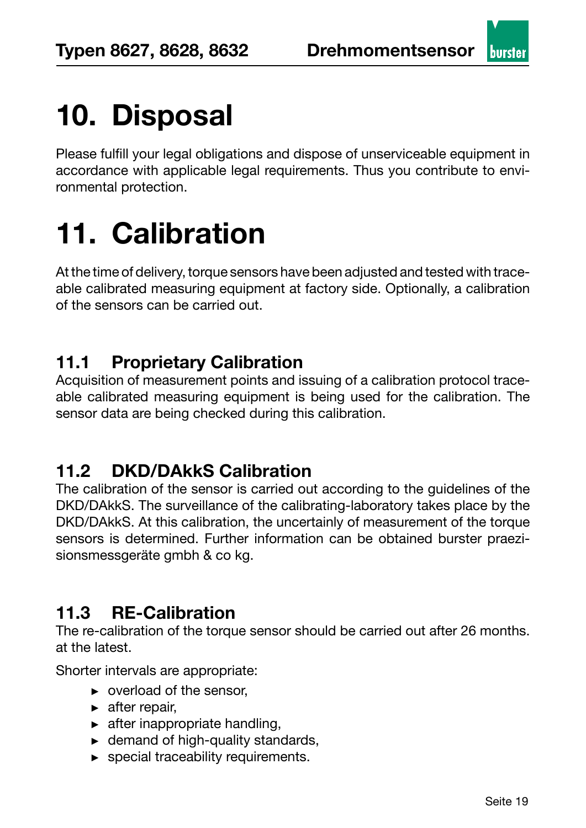**hurste** 

# **10. Disposal**

Please fulfill your legal obligations and dispose of unserviceable equipment in accordance with applicable legal requirements. Thus you contribute to environmental protection.

# **11. Calibration**

At the time of delivery, torque sensors have been adjusted and tested with traceable calibrated measuring equipment at factory side. Optionally, a calibration of the sensors can be carried out.

#### **11.1 Proprietary Calibration**

Acquisition of measurement points and issuing of a calibration protocol traceable calibrated measuring equipment is being used for the calibration. The sensor data are being checked during this calibration.

### **11.2 DKD/DAkkS Calibration**

The calibration of the sensor is carried out according to the guidelines of the DKD/DAkkS. The surveillance of the calibrating-laboratory takes place by the DKD/DAkkS. At this calibration, the uncertainly of measurement of the torque sensors is determined. Further information can be obtained burster praezisionsmessgeräte gmbh & co kg.

## **11.3 RE-Calibration**

The re-calibration of the torque sensor should be carried out after 26 months. at the latest.

Shorter intervals are appropriate:

- ► overload of the sensor,
- $\blacktriangleright$  after repair.
- $\blacktriangleright$  after inappropriate handling,
- $\blacktriangleright$  demand of high-quality standards,
- ► special traceability requirements.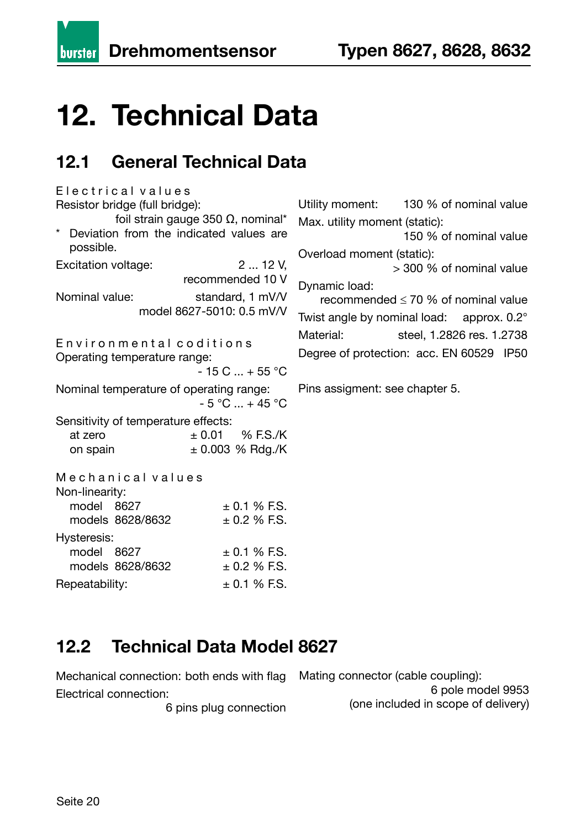**burster** 

# **12. Technical Data**

## **12.1 General Technical Data**

E lectrical values Resistor bridge (full bridge): foil strain gauge 350 Ω, nominal\* Deviation from the indicated values are possible. Excitation voltage: 2 ... 12 V. recommended 10 V Nominal value: standard, 1 mV/V model 8627-5010: 0.5 mV/V Environmental coditions Operating temperature range:  $-15$  C  $... + 55$  °C Nominal temperature of operating range:  $-5 °C ... + 45 °C$ Sensitivity of temperature effects: at zero  $\pm 0.01$  % F.S./K on spain  $\pm 0.003$  % Rdg./K Mechanical values Non-linearity: model  $8627 + 0.1 \%$  F.S. models  $8628/8632 + 0.2 % F.S.$ Hysteresis: model  $8627 + 0.1 \%$  F.S. models  $8628/8632 + 0.2 \% ES$ . Repeatability:  $\pm 0.1 \%$  F.S. Dynamic load:

Utility moment: 130 % of nominal value Max. utility moment (static):

 150 % of nominal value Overload moment (static):

> 300 % of nominal value

recommended  $\leq 70$  % of nominal value Twist angle by nominal load: approx. 0.2° Material: steel, 1.2826 res. 1.2738 Degree of protection: acc. EN 60529 IP50

Pins assigment: see chapter 5.

### **12.2 Technical Data Model 8627**

Mechanical connection: both ends with flag Electrical connection:

6 pins plug connection

Mating connector (cable coupling):

 6 pole model 9953 (one included in scope of delivery)